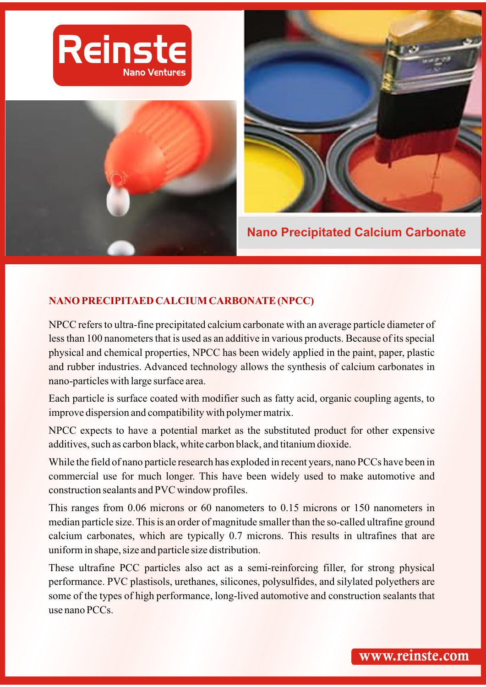





**Nano Precipitated Calcium Carbonate** 

# **NANO PRECIPITAED CALCIUM CARBONATE (NPCC)**

NPCC refers to ultra-fine precipitated calcium carbonate with an average particle diameter of less than 100 nanometers that is used as an additive in various products. Because of its special physical and chemical properties, NPCC has been widely applied in the paint, paper, plastic and rubber industries. Advanced technology allows the synthesis of calcium carbonates in nano-particles with large surface area.

Each particle is surface coated with modifier such as fatty acid, organic coupling agents, to improve dispersion and compatibility with polymer matrix.

NPCC expects to have a potential market as the substituted product for other expensive additives, such as carbon black, white carbon black, and titanium dioxide.

While the field of nano particle research has exploded in recent years, nano PCCs have been in commercial use for much longer. This have been widely used to make automotive and construction sealants and PVC window profiles.

This ranges from 0.06 microns or 60 nanometers to 0.15 microns or 150 nanometers in median particle size. This is an order of magnitude smaller than the so-called ultrafine ground calcium carbonates, which are typically 0.7 microns. This results in ultrafines that are uniform in shape, size and particle size distribution.

These ultrafine PCC particles also act as a semi-reinforcing filler, for strong physical performance. PVC plastisols, urethanes, silicones, polysulfides, and silylated polyethers are some of the types of high performance, long-lived automotive and construction sealants that use nano PCCs.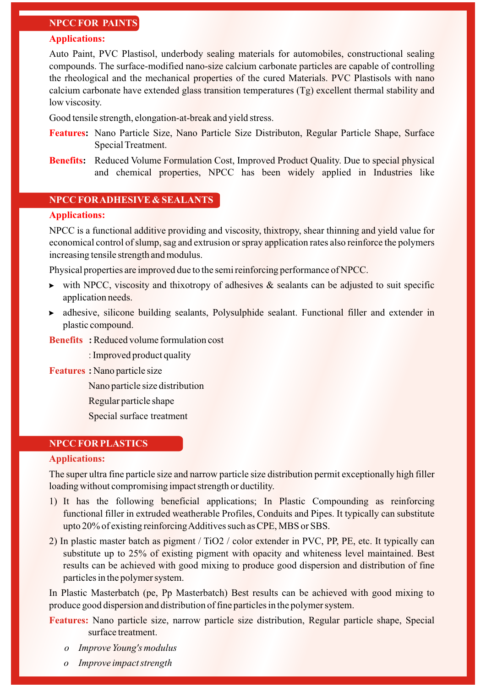# **NPCC FOR PAINTS**

#### **Applications:**

Auto Paint, PVC Plastisol, underbody sealing materials for automobiles, constructional sealing compounds. The surface-modified nano-size calcium carbonate particles are capable of controlling the rheological and the mechanical properties of the cured Materials. PVC Plastisols with nano calcium carbonate have extended glass transition temperatures (Tg) excellent thermal stability and low viscosity.

Good tensile strength, elongation-at-break and yield stress.

- **Features :** Nano Particle Size, Nano Particle Size Distributon, Regular Particle Shape, Surface Special Treatment.
- **Benefits:** Reduced Volume Formulation Cost, Improved Product Quality. Due to special physical and chemical properties, NPCC has been widely applied in Industries like

## **NPCC FOR ADHESIVE & SEALANTS**

# **Applications:**

NPCC is a functional additive providing and viscosity, thixtropy, shear thinning and yield value for economical control of slump, sag and extrusion or spray application rates also reinforce the polymers increasing tensile strength and modulus.

Physical properties are improved due to the semi reinforcing performance of NPCC.

- ightharpoonup visits viscosity and thixotropy of adhesives  $\&$  sealants can be adjusted to suit specific application needs.
- adhesive, silicone building sealants, Polysulphide sealant. Functional filler and extender in plastic compound.

Reduced volume formulation cost **Benefits :**

: Improved product quality

#### **Features**: Nano particle size

Nano particle size distribution

Regular particle shape

Special surface treatment

# **NPCC FOR PLASTICS**

#### **Applications:**

The super ultra fine particle size and narrow particle size distribution permit exceptionally high filler loading without compromising impact strength or ductility.

- 1) It has the following beneficial applications; In Plastic Compounding as reinforcing functional filler in extruded weatherable Profiles, Conduits and Pipes. It typically can substitute upto 20% of existing reinforcing Additives such as CPE, MBS or SBS.
- 2) In plastic master batch as pigment / TiO2 / color extender in PVC, PP, PE, etc. It typically can substitute up to 25% of existing pigment with opacity and whiteness level maintained. Best results can be achieved with good mixing to produce good dispersion and distribution of fine particles in the polymer system.

In Plastic Masterbatch (pe, Pp Masterbatch) Best results can be achieved with good mixing to produce good dispersion and distribution of fine particles in the polymer system.

Features: Nano particle size, narrow particle size distribution, Regular particle shape, Special surface treatment.

- *o Improve Young's modulus*
- *o Improve impact strength*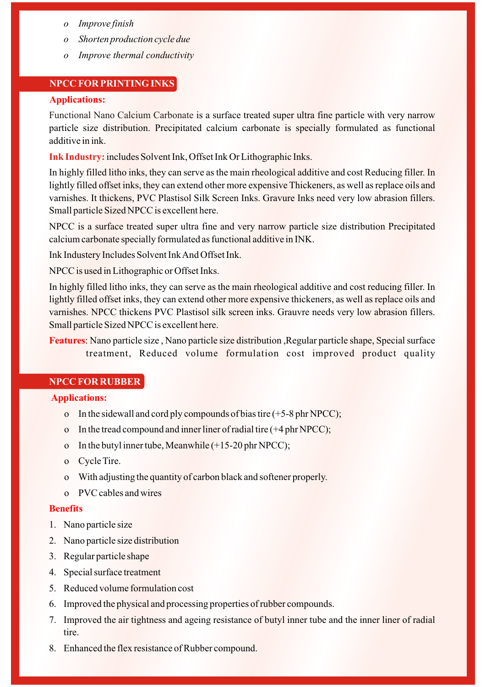- *o Improve finish*
- *o Shorten production cycle due*
- *o Improve thermal conductivity*

## **NPCC FOR PRINTING INKS**

# **Applications:**

Functional Nano Calcium Carbonate is a surface treated super ultra fine particle with very narrow particle size distribution. Precipitated calcium carbonate is specially formulated as functional additive in ink.

Ink Industry: includes Solvent Ink, Offset Ink Or Lithographic Inks.

In highly filled litho inks, they can serve as the main rheological additive and cost Reducing filler. In lightly filled offset inks, they can extend other more expensive Thickeners, as well as replace oils and varnishes. It thickens, PVC Plastisol Silk Screen Inks. Gravure Inks need very low abrasion fillers. Small particle Sized NPCC is excellent here.

NPCC is a surface treated super ultra fine and very narrow particle size distribution Precipitated calcium carbonate specially formulated as functional additive in INK.

Ink Industery Includes Solvent Ink And Offset Ink.

NPCC is used in Lithographic or Offset Inks.

In highly filled litho inks, they can serve as the main rheological additive and cost reducing filler. In lightly filled offset inks, they can extend other more expensive thickeners, as well as replace oils and varnishes. NPCC thickens PVC Plastisol silk screen inks. Grauvre needs very low abrasion fillers. Small particle Sized NPCC is excellent here.

: Nano particle size , Nano particle size distribution ,Regular particle shape, Special surface **Features** treatment, Reduced volume formulation cost improved product quality

## **NPCC FOR RUBBER**

## **Applications:**

- o In the sidewall and cord ply compounds of bias tire  $(+5-8$  phr NPCC);
- o In the tread compound and inner liner of radial tire (+4 phr NPCC);
- o In the butyl inner tube, Meanwhile  $(+15-20$  phr NPCC);
- o Cycle Tire.
- o With adjusting the quantity of carbon black and softener properly.
- o PVC cables and wires

#### **Benefits**

- 1. Nano particle size
- 2. Nano particle size distribution
- 3. Regular particle shape
- 4. Special surface treatment
- 5. Reduced volume formulation cost
- 6. Improved the physical and processing properties of rubber compounds.
- 7. Improved the air tightness and ageing resistance of butyl inner tube and the inner liner of radial tire.
- 8. Enhanced the flex resistance of Rubber compound.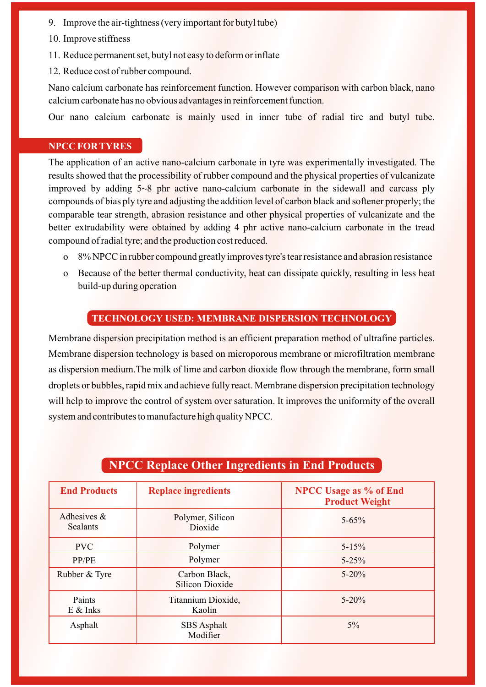- 9. Improve the air-tightness (very important for butyl tube)
- 10. Improve stiffness
- 11. Reduce permanent set, butyl not easy to deform or inflate
- 12. Reduce cost of rubber compound.

Nano calcium carbonate has reinforcement function. However comparison with carbon black, nano calcium carbonate has no obvious advantages in reinforcement function.

Our nano calcium carbonate is mainly used in inner tube of radial tire and butyl tube.

# **NPCC FOR TYRES**

The application of an active nano-calcium carbonate in tyre was experimentally investigated. The results showed that the processibility of rubber compound and the physical properties of vulcanizate improved by adding 5~8 phr active nano-calcium carbonate in the sidewall and carcass ply compounds of bias ply tyre and adjusting the addition level of carbon black and softener properly; the comparable tear strength, abrasion resistance and other physical properties of vulcanizate and the better extrudability were obtained by adding 4 phr active nano-calcium carbonate in the tread compound of radial tyre; and the production cost reduced.

- o 8% NPCC in rubber compound greatly improves tyre's tear resistance and abrasion resistance
- o Because of the better thermal conductivity, heat can dissipate quickly, resulting in less heat build-up during operation

# **TECHNOLOGY USED: MEMBRANE DISPERSION TECHNOLOGY**

Membrane dispersion precipitation method is an efficient preparation method of ultrafine particles. Membrane dispersion technology is based on microporous membrane or microfiltration membrane as dispersion medium.The milk of lime and carbon dioxide flow through the membrane, form small droplets or bubbles, rapid mix and achieve fully react. Membrane dispersion precipitation technology will help to improve the control of system over saturation. It improves the uniformity of the overall system and contributes to manufacture high quality NPCC.

| <b>End Products</b>               | <b>Replace ingredients</b>              | <b>NPCC Usage as % of End</b><br><b>Product Weight</b> |
|-----------------------------------|-----------------------------------------|--------------------------------------------------------|
| Adhesives $\&$<br><b>Sealants</b> | Polymer, Silicon<br>Dioxide             | $5 - 65\%$                                             |
| <b>PVC</b>                        | Polymer                                 | $5 - 15%$                                              |
| PP/PE                             | Polymer                                 | $5 - 25%$                                              |
| Rubber & Tyre                     | Carbon Black,<br><b>Silicon Dioxide</b> | $5 - 20\%$                                             |
| Paints<br>$E$ & Inks              | Titannium Dioxide,<br>Kaolin            | $5 - 20%$                                              |
| Asphalt                           | <b>SBS</b> Asphalt<br>Modifier          | $5\%$                                                  |

# **NPCC Replace Other Ingredients in End Products**